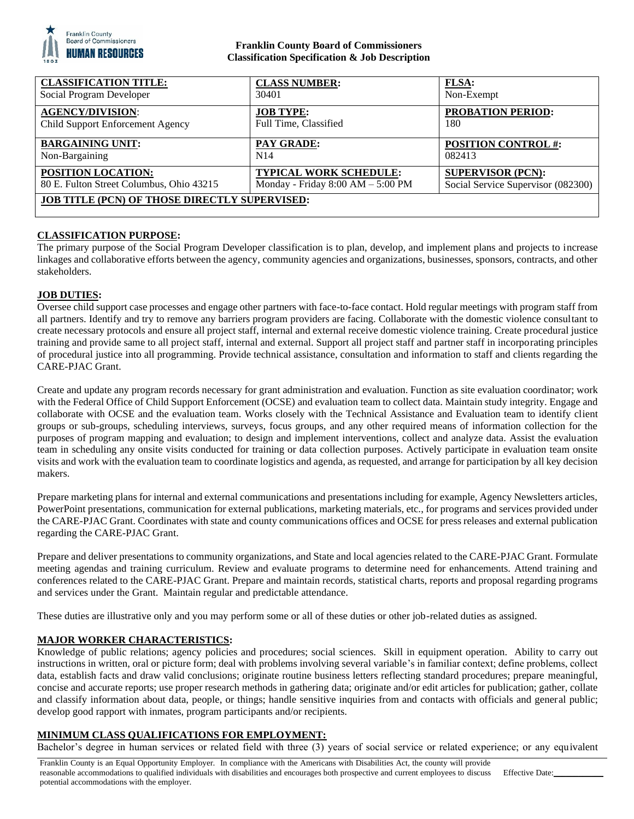

### **Franklin County Board of Commissioners Classification Specification & Job Description**

| <b>CLASSIFICATION TITLE:</b>                         | <b>CLASS NUMBER:</b>              | <b>FLSA:</b>                       |
|------------------------------------------------------|-----------------------------------|------------------------------------|
| Social Program Developer                             | 30401                             | Non-Exempt                         |
| <b>AGENCY/DIVISION:</b>                              | <b>JOB TYPE:</b>                  | <b>PROBATION PERIOD:</b>           |
| Child Support Enforcement Agency                     | Full Time, Classified             | 180                                |
| <b>BARGAINING UNIT:</b>                              | <b>PAY GRADE:</b>                 | <b>POSITION CONTROL #:</b>         |
| Non-Bargaining                                       | N <sub>14</sub>                   | 082413                             |
| POSITION LOCATION:                                   | TYPICAL WORK SCHEDULE:            | <b>SUPERVISOR (PCN):</b>           |
| 80 E. Fulton Street Columbus, Ohio 43215             | Monday - Friday 8:00 AM - 5:00 PM | Social Service Supervisor (082300) |
| <b>JOB TITLE (PCN) OF THOSE DIRECTLY SUPERVISED:</b> |                                   |                                    |
|                                                      |                                   |                                    |

# **CLASSIFICATION PURPOSE:**

The primary purpose of the Social Program Developer classification is to plan, develop, and implement plans and projects to increase linkages and collaborative efforts between the agency, community agencies and organizations, businesses, sponsors, contracts, and other stakeholders.

# **JOB DUTIES:**

Oversee child support case processes and engage other partners with face-to-face contact. Hold regular meetings with program staff from all partners. Identify and try to remove any barriers program providers are facing. Collaborate with the domestic violence consultant to create necessary protocols and ensure all project staff, internal and external receive domestic violence training. Create procedural justice training and provide same to all project staff, internal and external. Support all project staff and partner staff in incorporating principles of procedural justice into all programming. Provide technical assistance, consultation and information to staff and clients regarding the CARE-PJAC Grant.

Create and update any program records necessary for grant administration and evaluation. Function as site evaluation coordinator; work with the Federal Office of Child Support Enforcement (OCSE) and evaluation team to collect data. Maintain study integrity. Engage and collaborate with OCSE and the evaluation team. Works closely with the Technical Assistance and Evaluation team to identify client groups or sub-groups, scheduling interviews, surveys, focus groups, and any other required means of information collection for the purposes of program mapping and evaluation; to design and implement interventions, collect and analyze data. Assist the evaluation team in scheduling any onsite visits conducted for training or data collection purposes. Actively participate in evaluation team onsite visits and work with the evaluation team to coordinate logistics and agenda, as requested, and arrange for participation by all key decision makers.

Prepare marketing plans for internal and external communications and presentations including for example, Agency Newsletters articles, PowerPoint presentations, communication for external publications, marketing materials, etc., for programs and services provided under the CARE-PJAC Grant. Coordinates with state and county communications offices and OCSE for press releases and external publication regarding the CARE-PJAC Grant.

Prepare and deliver presentations to community organizations, and State and local agencies related to the CARE-PJAC Grant. Formulate meeting agendas and training curriculum. Review and evaluate programs to determine need for enhancements. Attend training and conferences related to the CARE-PJAC Grant. Prepare and maintain records, statistical charts, reports and proposal regarding programs and services under the Grant. Maintain regular and predictable attendance.

These duties are illustrative only and you may perform some or all of these duties or other job-related duties as assigned.

# **MAJOR WORKER CHARACTERISTICS:**

Knowledge of public relations; agency policies and procedures; social sciences. Skill in equipment operation. Ability to carry out instructions in written, oral or picture form; deal with problems involving several variable's in familiar context; define problems, collect data, establish facts and draw valid conclusions; originate routine business letters reflecting standard procedures; prepare meaningful, concise and accurate reports; use proper research methods in gathering data; originate and/or edit articles for publication; gather, collate and classify information about data, people, or things; handle sensitive inquiries from and contacts with officials and general public; develop good rapport with inmates, program participants and/or recipients.

### **MINIMUM CLASS QUALIFICATIONS FOR EMPLOYMENT:**

Bachelor's degree in human services or related field with three (3) years of social service or related experience; or any equivalent